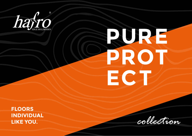

# RURE PROT ECT

**FLOORS INDIVIDUAL** LIKE YOU.

collection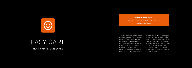MUCH NATURE, LITTLE CARE

## EASY CARE

**3-STRIP FLOORING** 5G-C DROPDOWN | MICRO BEVEL | SPRUCE CORE

**approx. 3,6 mm top layer**

7-coats easy care PURE object lacquer protect the surface deep into the pores making it particularly hard-wearing. An optical variety through 6 different colours and two gradings, as Natural Knotty and Country. Pure Protect Floors offer the perfect basis for your personal design.



In addition to the advantages of our easy care surface, PURE PROTECT offers the look of a naturally oiled floor that does not require any special care. It also forms a symbiosis of comfort, aesthetics and functionality. Connecting individual needs through versatility.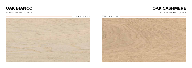

#### NATURAL-KNOTTY | COUNTRY



2200 x 182 x 14 mm 2200 x 182 x 14 mm



#### NATURAL-KNOTTY | COUNTRY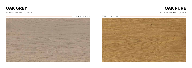## **OAK GREY OAK PURE**

### NATURAL-KNOTTY | COUNTRY NATURAL-KNOTTY | COUNTRY



2200 x 182 x 14 mm 2200 x 192 x 14 mm

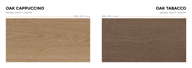### **OAK CAPPUCCINO OAK TABACCO**



#### NATURAL-KNOTTY | COUNTRY NATURAL-KNOTTY | COUNTRY

2200 x 182 x 14 mm 2200 x 182 x 14 mm



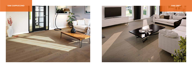



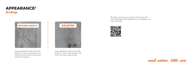

Natural appearance with natural differences in colour and structure, healthy knots and small knotholes, dark puttied. No sapwood.

We make it easy for you to choose. Here you can find more information about gradings on our homepage. Just scan and decide.







Lively appearance with strong differences in colour and structure, big knots and cracks, black puttied.

## **APPEARANCE<sup>2</sup>**

**Gradings**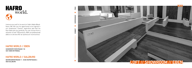

Immerse yourself in the world of Hafro Noble Woodfloors. We offer you the opportunity to be inspired in our showrooms. Commit, experience and find the floor that suits you perfectly. You can choose from a selection of over 100 products. With our professional advice on site we offer an optimal all-round service.

### **HAFRO WORLD // EBEN**

NIEDERNFRITZERSTRASSE 118 5531 EBEN IM PONGAU

### **HAFRO WORLD // SALZBURG**

**BAYERHAMERSTRASSE 11 - ECKE RUPERTGASSE 6** 5020 SALZBURG